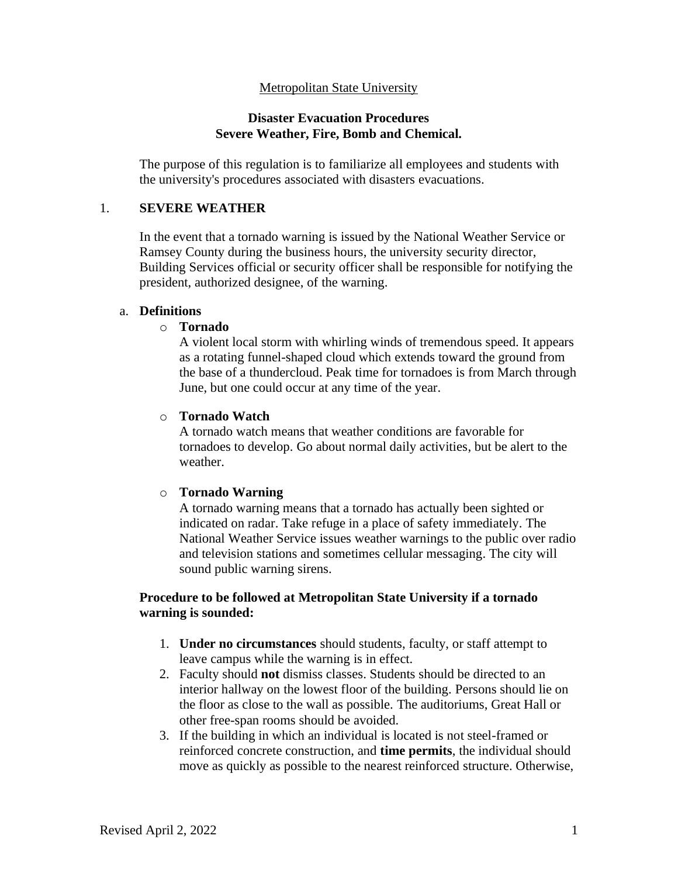# Metropolitan State University

## **Disaster Evacuation Procedures Severe Weather, Fire, Bomb and Chemical.**

The purpose of this regulation is to familiarize all employees and students with the university's procedures associated with disasters evacuations.

# 1. **SEVERE WEATHER**

In the event that a tornado warning is issued by the National Weather Service or Ramsey County during the business hours, the university security director, Building Services official or security officer shall be responsible for notifying the president, authorized designee, of the warning.

# a. **Definitions**

o **Tornado**

A violent local storm with whirling winds of tremendous speed. It appears as a rotating funnel-shaped cloud which extends toward the ground from the base of a thundercloud. Peak time for tornadoes is from March through June, but one could occur at any time of the year.

### o **Tornado Watch**

A tornado watch means that weather conditions are favorable for tornadoes to develop. Go about normal daily activities, but be alert to the weather.

# o **Tornado Warning**

A tornado warning means that a tornado has actually been sighted or indicated on radar. Take refuge in a place of safety immediately. The National Weather Service issues weather warnings to the public over radio and television stations and sometimes cellular messaging. The city will sound public warning sirens.

# **Procedure to be followed at Metropolitan State University if a tornado warning is sounded:**

- 1. **Under no circumstances** should students, faculty, or staff attempt to leave campus while the warning is in effect.
- 2. Faculty should **not** dismiss classes. Students should be directed to an interior hallway on the lowest floor of the building. Persons should lie on the floor as close to the wall as possible. The auditoriums, Great Hall or other free-span rooms should be avoided.
- 3. If the building in which an individual is located is not steel-framed or reinforced concrete construction, and **time permits**, the individual should move as quickly as possible to the nearest reinforced structure. Otherwise,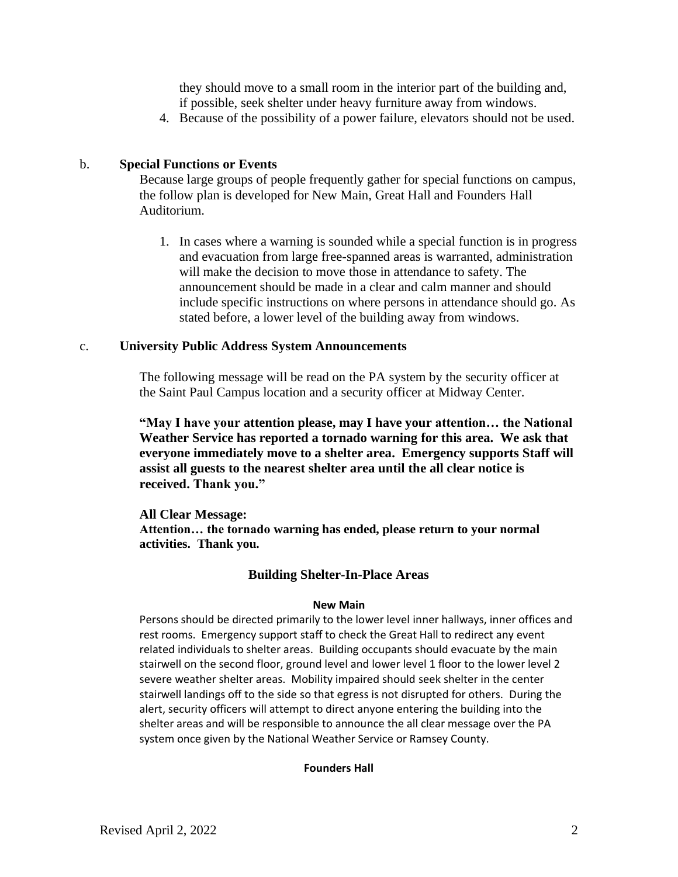they should move to a small room in the interior part of the building and, if possible, seek shelter under heavy furniture away from windows.

4. Because of the possibility of a power failure, elevators should not be used.

### b. **Special Functions or Events**

Because large groups of people frequently gather for special functions on campus, the follow plan is developed for New Main, Great Hall and Founders Hall Auditorium.

1. In cases where a warning is sounded while a special function is in progress and evacuation from large free-spanned areas is warranted, administration will make the decision to move those in attendance to safety. The announcement should be made in a clear and calm manner and should include specific instructions on where persons in attendance should go. As stated before, a lower level of the building away from windows.

### c. **University Public Address System Announcements**

The following message will be read on the PA system by the security officer at the Saint Paul Campus location and a security officer at Midway Center.

**"May I have your attention please, may I have your attention… the National Weather Service has reported a tornado warning for this area. We ask that everyone immediately move to a shelter area. Emergency supports Staff will assist all guests to the nearest shelter area until the all clear notice is received. Thank you."**

**All Clear Message: Attention… the tornado warning has ended, please return to your normal activities. Thank you.**

# **Building Shelter-In-Place Areas**

#### **New Main**

Persons should be directed primarily to the lower level inner hallways, inner offices and rest rooms. Emergency support staff to check the Great Hall to redirect any event related individuals to shelter areas. Building occupants should evacuate by the main stairwell on the second floor, ground level and lower level 1 floor to the lower level 2 severe weather shelter areas. Mobility impaired should seek shelter in the center stairwell landings off to the side so that egress is not disrupted for others. During the alert, security officers will attempt to direct anyone entering the building into the shelter areas and will be responsible to announce the all clear message over the PA system once given by the National Weather Service or Ramsey County.

#### **Founders Hall**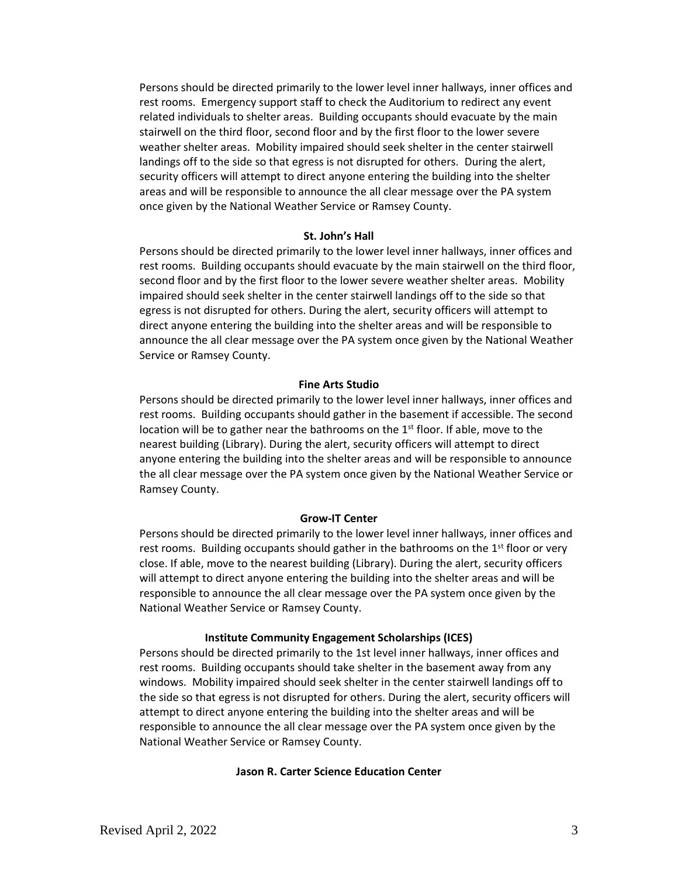Persons should be directed primarily to the lower level inner hallways, inner offices and rest rooms. Emergency support staff to check the Auditorium to redirect any event related individuals to shelter areas. Building occupants should evacuate by the main stairwell on the third floor, second floor and by the first floor to the lower severe weather shelter areas. Mobility impaired should seek shelter in the center stairwell landings off to the side so that egress is not disrupted for others. During the alert, security officers will attempt to direct anyone entering the building into the shelter areas and will be responsible to announce the all clear message over the PA system once given by the National Weather Service or Ramsey County.

#### **St. John's Hall**

Persons should be directed primarily to the lower level inner hallways, inner offices and rest rooms. Building occupants should evacuate by the main stairwell on the third floor, second floor and by the first floor to the lower severe weather shelter areas. Mobility impaired should seek shelter in the center stairwell landings off to the side so that egress is not disrupted for others. During the alert, security officers will attempt to direct anyone entering the building into the shelter areas and will be responsible to announce the all clear message over the PA system once given by the National Weather Service or Ramsey County.

#### **Fine Arts Studio**

Persons should be directed primarily to the lower level inner hallways, inner offices and rest rooms. Building occupants should gather in the basement if accessible. The second location will be to gather near the bathrooms on the  $1<sup>st</sup>$  floor. If able, move to the nearest building (Library). During the alert, security officers will attempt to direct anyone entering the building into the shelter areas and will be responsible to announce the all clear message over the PA system once given by the National Weather Service or Ramsey County.

#### **Grow-IT Center**

Persons should be directed primarily to the lower level inner hallways, inner offices and rest rooms. Building occupants should gather in the bathrooms on the  $1<sup>st</sup>$  floor or very close. If able, move to the nearest building (Library). During the alert, security officers will attempt to direct anyone entering the building into the shelter areas and will be responsible to announce the all clear message over the PA system once given by the National Weather Service or Ramsey County.

#### **Institute Community Engagement Scholarships (ICES)**

Persons should be directed primarily to the 1st level inner hallways, inner offices and rest rooms. Building occupants should take shelter in the basement away from any windows. Mobility impaired should seek shelter in the center stairwell landings off to the side so that egress is not disrupted for others. During the alert, security officers will attempt to direct anyone entering the building into the shelter areas and will be responsible to announce the all clear message over the PA system once given by the National Weather Service or Ramsey County.

#### **Jason R. Carter Science Education Center**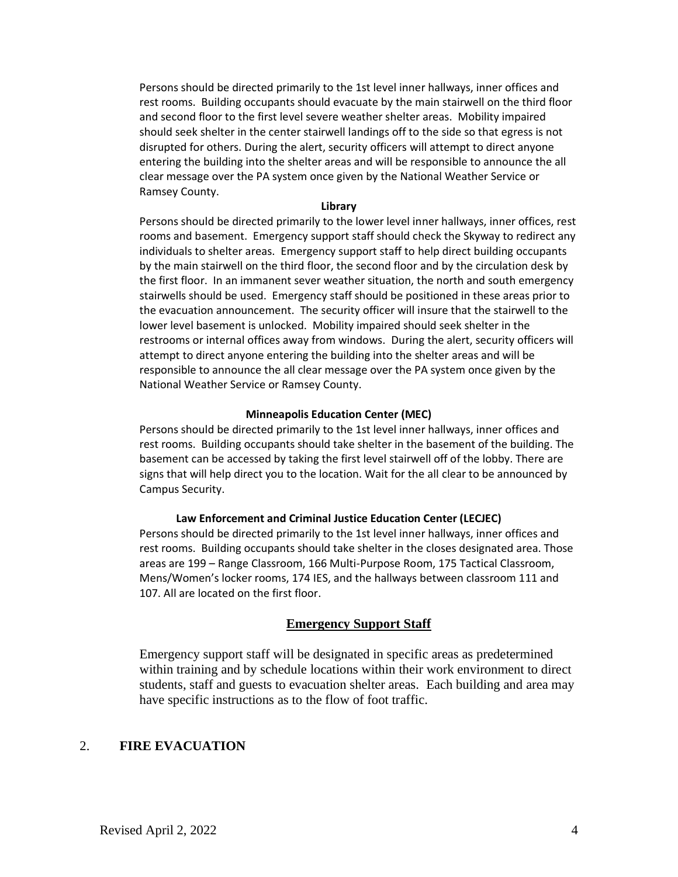Persons should be directed primarily to the 1st level inner hallways, inner offices and rest rooms. Building occupants should evacuate by the main stairwell on the third floor and second floor to the first level severe weather shelter areas. Mobility impaired should seek shelter in the center stairwell landings off to the side so that egress is not disrupted for others. During the alert, security officers will attempt to direct anyone entering the building into the shelter areas and will be responsible to announce the all clear message over the PA system once given by the National Weather Service or Ramsey County.

#### **Library**

Persons should be directed primarily to the lower level inner hallways, inner offices, rest rooms and basement. Emergency support staff should check the Skyway to redirect any individuals to shelter areas. Emergency support staff to help direct building occupants by the main stairwell on the third floor, the second floor and by the circulation desk by the first floor. In an immanent sever weather situation, the north and south emergency stairwells should be used. Emergency staff should be positioned in these areas prior to the evacuation announcement. The security officer will insure that the stairwell to the lower level basement is unlocked. Mobility impaired should seek shelter in the restrooms or internal offices away from windows. During the alert, security officers will attempt to direct anyone entering the building into the shelter areas and will be responsible to announce the all clear message over the PA system once given by the National Weather Service or Ramsey County.

#### **Minneapolis Education Center (MEC)**

Persons should be directed primarily to the 1st level inner hallways, inner offices and rest rooms. Building occupants should take shelter in the basement of the building. The basement can be accessed by taking the first level stairwell off of the lobby. There are signs that will help direct you to the location. Wait for the all clear to be announced by Campus Security.

#### **Law Enforcement and Criminal Justice Education Center (LECJEC)**

Persons should be directed primarily to the 1st level inner hallways, inner offices and rest rooms. Building occupants should take shelter in the closes designated area. Those areas are 199 – Range Classroom, 166 Multi-Purpose Room, 175 Tactical Classroom, Mens/Women's locker rooms, 174 IES, and the hallways between classroom 111 and 107. All are located on the first floor.

### **Emergency Support Staff**

Emergency support staff will be designated in specific areas as predetermined within training and by schedule locations within their work environment to direct students, staff and guests to evacuation shelter areas. Each building and area may have specific instructions as to the flow of foot traffic.

### 2. **FIRE EVACUATION**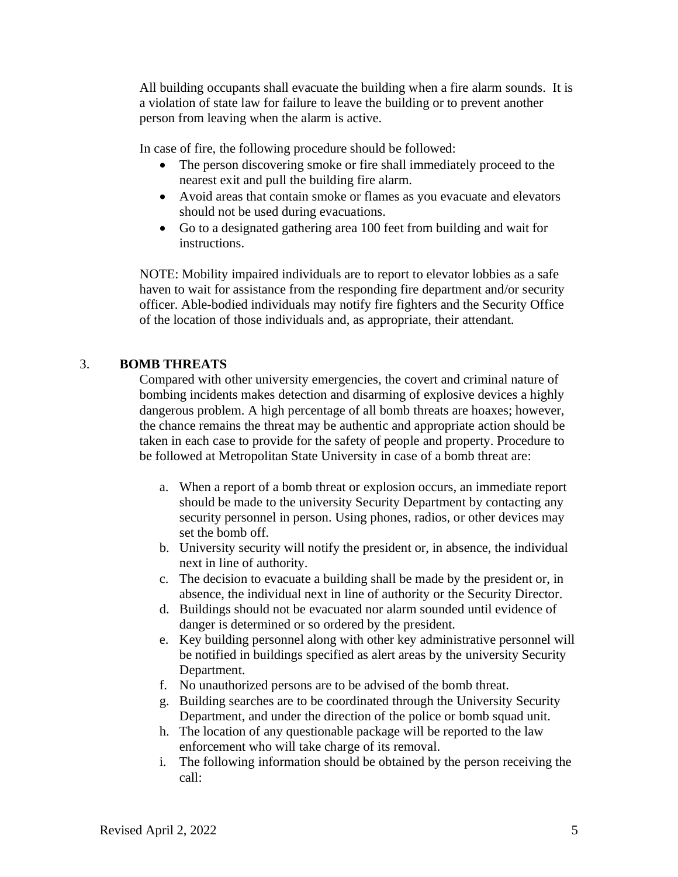All building occupants shall evacuate the building when a fire alarm sounds. It is a violation of state law for failure to leave the building or to prevent another person from leaving when the alarm is active.

In case of fire, the following procedure should be followed:

- The person discovering smoke or fire shall immediately proceed to the nearest exit and pull the building fire alarm.
- Avoid areas that contain smoke or flames as you evacuate and elevators should not be used during evacuations.
- Go to a designated gathering area 100 feet from building and wait for instructions.

NOTE: Mobility impaired individuals are to report to elevator lobbies as a safe haven to wait for assistance from the responding fire department and/or security officer. Able-bodied individuals may notify fire fighters and the Security Office of the location of those individuals and, as appropriate, their attendant.

# 3. **BOMB THREATS**

Compared with other university emergencies, the covert and criminal nature of bombing incidents makes detection and disarming of explosive devices a highly dangerous problem. A high percentage of all bomb threats are hoaxes; however, the chance remains the threat may be authentic and appropriate action should be taken in each case to provide for the safety of people and property. Procedure to be followed at Metropolitan State University in case of a bomb threat are:

- a. When a report of a bomb threat or explosion occurs, an immediate report should be made to the university Security Department by contacting any security personnel in person. Using phones, radios, or other devices may set the bomb off.
- b. University security will notify the president or, in absence, the individual next in line of authority.
- c. The decision to evacuate a building shall be made by the president or, in absence, the individual next in line of authority or the Security Director.
- d. Buildings should not be evacuated nor alarm sounded until evidence of danger is determined or so ordered by the president.
- e. Key building personnel along with other key administrative personnel will be notified in buildings specified as alert areas by the university Security Department.
- f. No unauthorized persons are to be advised of the bomb threat.
- g. Building searches are to be coordinated through the University Security Department, and under the direction of the police or bomb squad unit.
- h. The location of any questionable package will be reported to the law enforcement who will take charge of its removal.
- i. The following information should be obtained by the person receiving the call: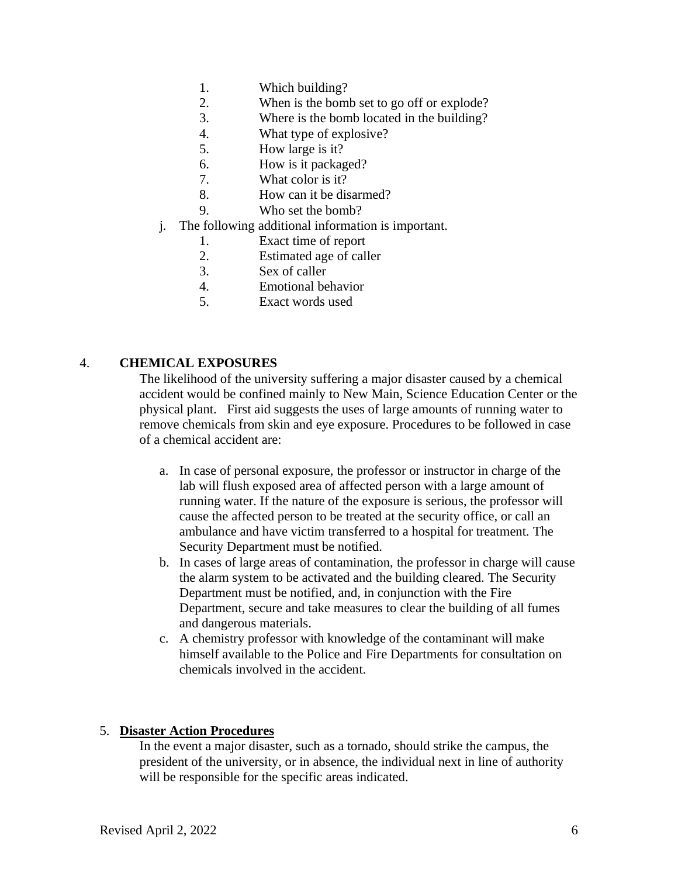- 1. Which building?
- 2. When is the bomb set to go off or explode?
- 3. Where is the bomb located in the building?
- 4. What type of explosive?
- 5. How large is it?
- 6. How is it packaged?
- 7. What color is it?
- 8. How can it be disarmed?
- 9. Who set the bomb?
- j. The following additional information is important.
	- 1. Exact time of report
	- 2. Estimated age of caller
	- 3. Sex of caller
	- 4. Emotional behavior
	- 5. Exact words used

# 4. **CHEMICAL EXPOSURES**

The likelihood of the university suffering a major disaster caused by a chemical accident would be confined mainly to New Main, Science Education Center or the physical plant. First aid suggests the uses of large amounts of running water to remove chemicals from skin and eye exposure. Procedures to be followed in case of a chemical accident are:

- a. In case of personal exposure, the professor or instructor in charge of the lab will flush exposed area of affected person with a large amount of running water. If the nature of the exposure is serious, the professor will cause the affected person to be treated at the security office, or call an ambulance and have victim transferred to a hospital for treatment. The Security Department must be notified.
- b. In cases of large areas of contamination, the professor in charge will cause the alarm system to be activated and the building cleared. The Security Department must be notified, and, in conjunction with the Fire Department, secure and take measures to clear the building of all fumes and dangerous materials.
- c. A chemistry professor with knowledge of the contaminant will make himself available to the Police and Fire Departments for consultation on chemicals involved in the accident.

# 5. **Disaster Action Procedures**

In the event a major disaster, such as a tornado, should strike the campus, the president of the university, or in absence, the individual next in line of authority will be responsible for the specific areas indicated.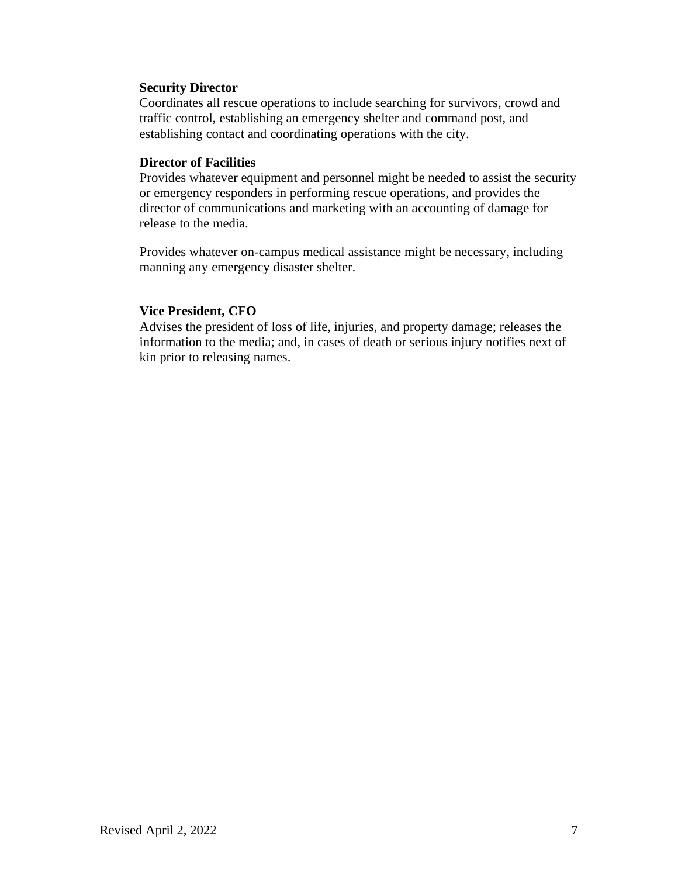## **Security Director**

Coordinates all rescue operations to include searching for survivors, crowd and traffic control, establishing an emergency shelter and command post, and establishing contact and coordinating operations with the city.

## **Director of Facilities**

Provides whatever equipment and personnel might be needed to assist the security or emergency responders in performing rescue operations, and provides the director of communications and marketing with an accounting of damage for release to the media.

Provides whatever on-campus medical assistance might be necessary, including manning any emergency disaster shelter.

# **Vice President, CFO**

Advises the president of loss of life, injuries, and property damage; releases the information to the media; and, in cases of death or serious injury notifies next of kin prior to releasing names.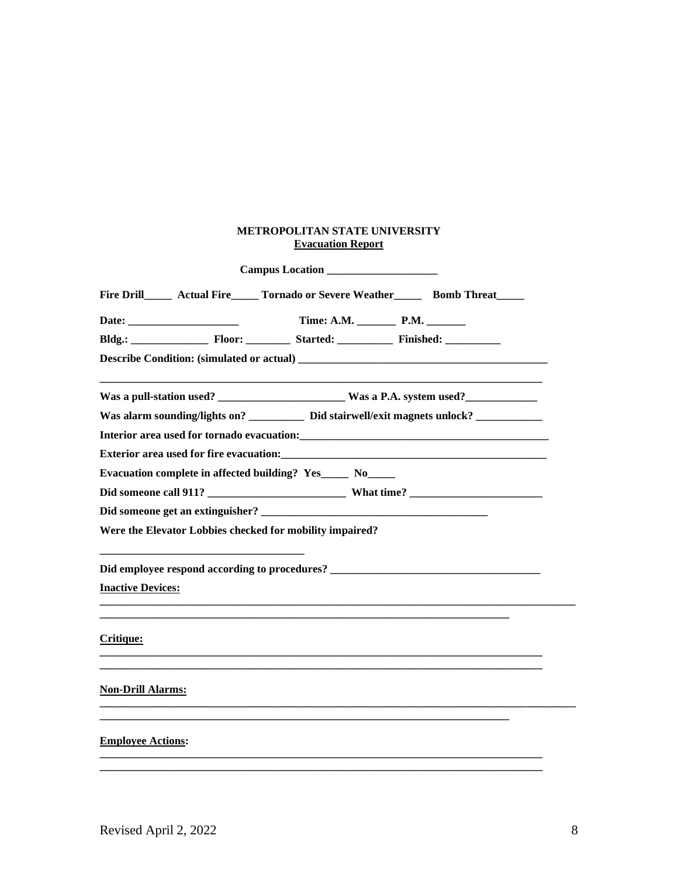### **METROPOLITAN STATE UNIVERSITY Evacuation Report**

| Campus Location                                                                                                                                                                                                                     |  |
|-------------------------------------------------------------------------------------------------------------------------------------------------------------------------------------------------------------------------------------|--|
| Fire Drill Actual Fire Tornado or Severe Weather Bomb Threat                                                                                                                                                                        |  |
|                                                                                                                                                                                                                                     |  |
| Bldg.: Floor: Started: Finished: Finished:                                                                                                                                                                                          |  |
| Describe Condition: (simulated or actual)                                                                                                                                                                                           |  |
| Was a pull-station used? ________________________ Was a P.A. system used? __________________________                                                                                                                                |  |
| Was alarm sounding/lights on? _____________ Did stairwell/exit magnets unlock? ____________________                                                                                                                                 |  |
| Interior area used for tornado evacuation: <b>Example 2018</b> and 2018 and 2019 and 2019 and 2019 and 2019 and 2019 and 2019 and 2019 and 2019 and 2019 and 2019 and 2019 and 2019 and 2019 and 2019 and 2019 and 2019 and 2019 an |  |
| Exterior area used for fire evacuation:                                                                                                                                                                                             |  |
| Evacuation complete in affected building? Yes______ No______                                                                                                                                                                        |  |
|                                                                                                                                                                                                                                     |  |
|                                                                                                                                                                                                                                     |  |
| Were the Elevator Lobbies checked for mobility impaired?                                                                                                                                                                            |  |
|                                                                                                                                                                                                                                     |  |
| <b>Inactive Devices:</b>                                                                                                                                                                                                            |  |
| Critique:                                                                                                                                                                                                                           |  |
| <b>Non-Drill Alarms:</b>                                                                                                                                                                                                            |  |
| <b>Employee Actions:</b>                                                                                                                                                                                                            |  |
|                                                                                                                                                                                                                                     |  |